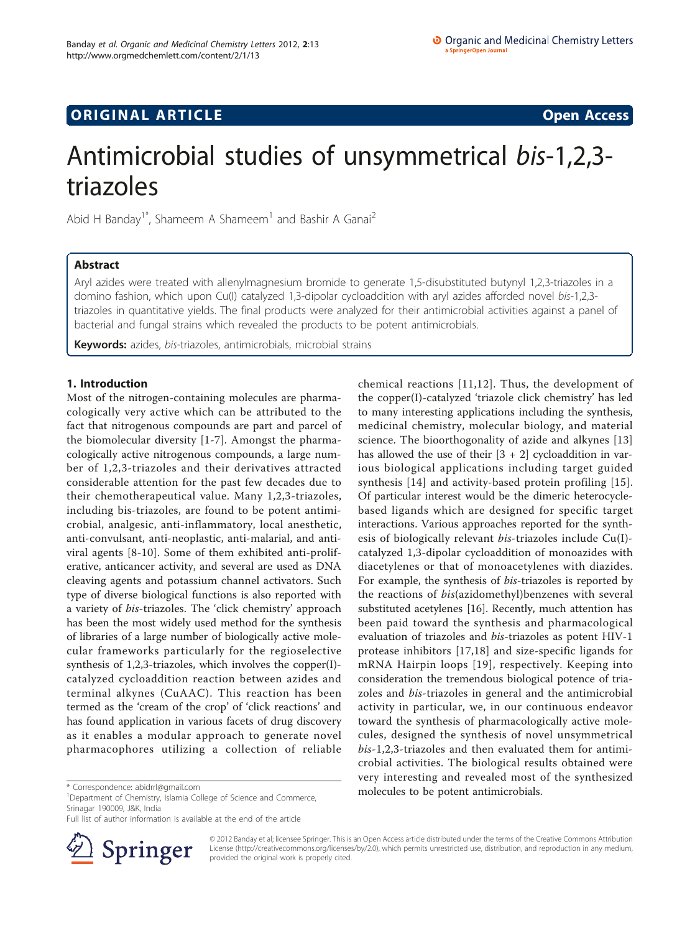## **ORIGINAL ARTICLE CONSERVANCE CONSERVANCE CONSERVANCE CONSERVANCE CONSERVANCE CONSERVANCE CONSERVANCE CONSERVANCE**

# Antimicrobial studies of unsymmetrical bis-1,2,3 triazoles

Abid H Banday<sup>1\*</sup>, Shameem A Shameem<sup>1</sup> and Bashir A Ganai<sup>2</sup>

## Abstract

Aryl azides were treated with allenylmagnesium bromide to generate 1,5-disubstituted butynyl 1,2,3-triazoles in a domino fashion, which upon Cu(I) catalyzed 1,3-dipolar cycloaddition with aryl azides afforded novel bis-1,2,3 triazoles in quantitative yields. The final products were analyzed for their antimicrobial activities against a panel of bacterial and fungal strains which revealed the products to be potent antimicrobials.

Keywords: azides, bis-triazoles, antimicrobials, microbial strains

## 1. Introduction

Most of the nitrogen-containing molecules are pharmacologically very active which can be attributed to the fact that nitrogenous compounds are part and parcel of the biomolecular diversity [[1-7\]](#page-6-0). Amongst the pharmacologically active nitrogenous compounds, a large number of 1,2,3-triazoles and their derivatives attracted considerable attention for the past few decades due to their chemotherapeutical value. Many 1,2,3-triazoles, including bis-triazoles, are found to be potent antimicrobial, analgesic, anti-inflammatory, local anesthetic, anti-convulsant, anti-neoplastic, anti-malarial, and antiviral agents [[8-10](#page-6-0)]. Some of them exhibited anti-proliferative, anticancer activity, and several are used as DNA cleaving agents and potassium channel activators. Such type of diverse biological functions is also reported with a variety of bis-triazoles. The 'click chemistry' approach has been the most widely used method for the synthesis of libraries of a large number of biologically active molecular frameworks particularly for the regioselective synthesis of 1,2,3-triazoles, which involves the copper(I) catalyzed cycloaddition reaction between azides and terminal alkynes (CuAAC). This reaction has been termed as the 'cream of the crop' of 'click reactions' and has found application in various facets of drug discovery as it enables a modular approach to generate novel pharmacophores utilizing a collection of reliable

Full list of author information is available at the end of the article



chemical reactions [[11,12](#page-6-0)]. Thus, the development of the copper(I)-catalyzed 'triazole click chemistry' has led to many interesting applications including the synthesis, medicinal chemistry, molecular biology, and material science. The bioorthogonality of azide and alkynes [\[13](#page-6-0)] has allowed the use of their  $[3 + 2]$  cycloaddition in various biological applications including target guided synthesis [\[14](#page-6-0)] and activity-based protein profiling [[15](#page-6-0)]. Of particular interest would be the dimeric heterocyclebased ligands which are designed for specific target interactions. Various approaches reported for the synthesis of biologically relevant *bis-triazoles* include Cu(I)catalyzed 1,3-dipolar cycloaddition of monoazides with diacetylenes or that of monoacetylenes with diazides. For example, the synthesis of bis-triazoles is reported by the reactions of bis(azidomethyl)benzenes with several substituted acetylenes [\[16](#page-6-0)]. Recently, much attention has been paid toward the synthesis and pharmacological evaluation of triazoles and bis-triazoles as potent HIV-1 protease inhibitors [[17,18\]](#page-6-0) and size-specific ligands for mRNA Hairpin loops [[19\]](#page-6-0), respectively. Keeping into consideration the tremendous biological potence of triazoles and bis-triazoles in general and the antimicrobial activity in particular, we, in our continuous endeavor toward the synthesis of pharmacologically active molecules, designed the synthesis of novel unsymmetrical bis-1,2,3-triazoles and then evaluated them for antimicrobial activities. The biological results obtained were very interesting and revealed most of the synthesized molecules to be potent antimicrobials. \* Correspondence: [abidrrl@gmail.com](mailto:abidrrl@gmail.com)

> © 2012 Banday et al; licensee Springer. This is an Open Access article distributed under the terms of the Creative Commons Attribution License [\(http://creativecommons.org/licenses/by/2.0](http://creativecommons.org/licenses/by/2.0)), which permits unrestricted use, distribution, and reproduction in any medium, provided the original work is properly cited.

<sup>&</sup>lt;sup>1</sup>Department of Chemistry, Islamia College of Science and Commerce, Srinagar 190009, J&K, India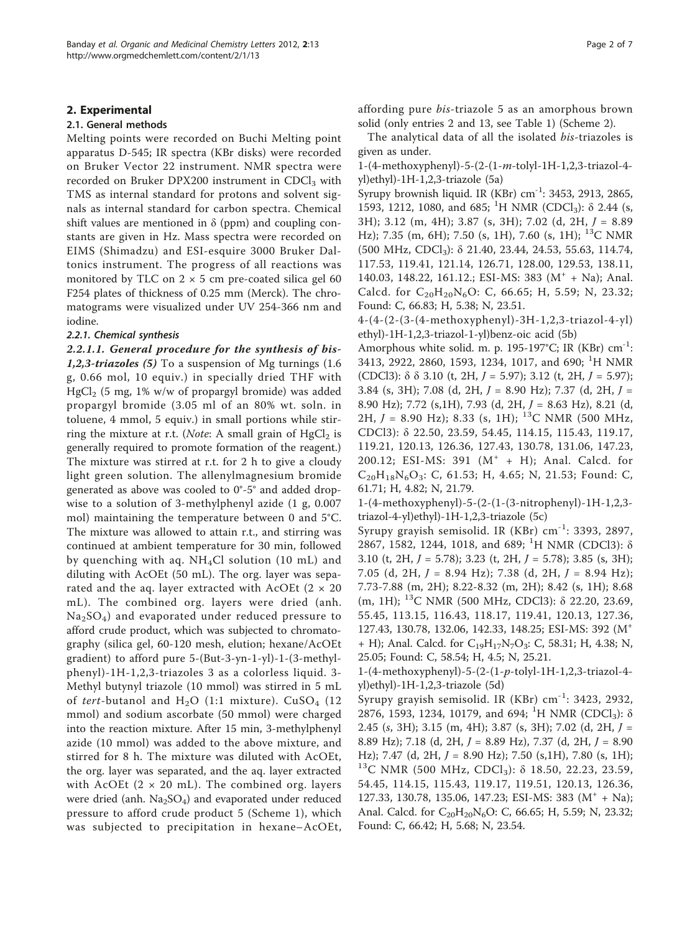#### 2. Experimental

### 2.1. General methods

Melting points were recorded on Buchi Melting point apparatus D-545; IR spectra (KBr disks) were recorded on Bruker Vector 22 instrument. NMR spectra were recorded on Bruker DPX200 instrument in  $CDCl<sub>3</sub>$  with TMS as internal standard for protons and solvent signals as internal standard for carbon spectra. Chemical shift values are mentioned in  $\delta$  (ppm) and coupling constants are given in Hz. Mass spectra were recorded on EIMS (Shimadzu) and ESI-esquire 3000 Bruker Daltonics instrument. The progress of all reactions was monitored by TLC on  $2 \times 5$  cm pre-coated silica gel 60 F254 plates of thickness of 0.25 mm (Merck). The chromatograms were visualized under UV 254-366 nm and iodine.

### 2.2.1. Chemical synthesis

2.2.1.1. General procedure for the synthesis of bis-1,2,3-triazoles (5) To a suspension of Mg turnings  $(1.6)$ g, 0.66 mol, 10 equiv.) in specially dried THF with  $HgCl<sub>2</sub>$  (5 mg, 1% w/w of propargyl bromide) was added propargyl bromide (3.05 ml of an 80% wt. soln. in toluene, 4 mmol, 5 equiv.) in small portions while stirring the mixture at r.t. (*Note*: A small grain of  $HgCl<sub>2</sub>$  is generally required to promote formation of the reagent.) The mixture was stirred at r.t. for 2 h to give a cloudy light green solution. The allenylmagnesium bromide generated as above was cooled to 0°-5° and added dropwise to a solution of 3-methylphenyl azide (1 g, 0.007 mol) maintaining the temperature between 0 and 5°C. The mixture was allowed to attain r.t., and stirring was continued at ambient temperature for 30 min, followed by quenching with aq. NH4Cl solution (10 mL) and diluting with AcOEt (50 mL). The org. layer was separated and the aq. layer extracted with AcOEt ( $2 \times 20$ mL). The combined org. layers were dried (anh.  $Na<sub>2</sub>SO<sub>4</sub>$ ) and evaporated under reduced pressure to afford crude product, which was subjected to chromatography (silica gel, 60-120 mesh, elution; hexane/AcOEt gradient) to afford pure 5-(But-3-yn-1-yl)-1-(3-methylphenyl)-1H-1,2,3-triazoles 3 as a colorless liquid. 3- Methyl butynyl triazole (10 mmol) was stirred in 5 mL of tert-butanol and  $H_2O$  (1:1 mixture).  $CuSO_4$  (12 mmol) and sodium ascorbate (50 mmol) were charged into the reaction mixture. After 15 min, 3-methylphenyl azide (10 mmol) was added to the above mixture, and stirred for 8 h. The mixture was diluted with AcOEt, the org. layer was separated, and the aq. layer extracted with AcOEt  $(2 \times 20 \text{ mL})$ . The combined org. layers were dried (anh.  $Na<sub>2</sub>SO<sub>4</sub>$ ) and evaporated under reduced pressure to afford crude product 5 (Scheme 1), which was subjected to precipitation in hexane–AcOEt, affording pure bis-triazole 5 as an amorphous brown solid (only entries 2 and 13, see Table [1\)](#page-2-0) (Scheme 2).

The analytical data of all the isolated bis-triazoles is given as under.

1-(4-methoxyphenyl)-5-(2-(1-m-tolyl-1H-1,2,3-triazol-4 yl)ethyl)-1H-1,2,3-triazole (5a)

Syrupy brownish liquid. IR (KBr) cm-1: 3453, 2913, 2865, 1593, 1212, 1080, and 685; <sup>1</sup>H NMR (CDCl<sub>3</sub>): δ 2.44 (s, 3H); 3.12 (m, 4H); 3.87 (s, 3H); 7.02 (d, 2H, J = 8.89 Hz); 7.35 (m, 6H); 7.50 (s, 1H), 7.60 (s, 1H); 13C NMR (500 MHz, CDCl3): δ 21.40, 23.44, 24.53, 55.63, 114.74, 117.53, 119.41, 121.14, 126.71, 128.00, 129.53, 138.11, 140.03, 148.22, 161.12.; ESI-MS: 383 (M<sup>+</sup> + Na); Anal. Calcd. for  $C_{20}H_{20}N_6O$ : C, 66.65; H, 5.59; N, 23.32; Found: C, 66.83; H, 5.38; N, 23.51.

4-(4-(2-(3-(4-methoxyphenyl)-3H-1,2,3-triazol-4-yl) ethyl)-1H-1,2,3-triazol-1-yl)benz-oic acid (5b)

Amorphous white solid. m. p. 195-197°C; IR (KBr)  $cm^{-1}$ : 3413, 2922, 2860, 1593, 1234, 1017, and 690; <sup>1</sup>H NMR (CDCl3):  $\delta$   $\delta$  3.10 (t, 2H,  $J = 5.97$ ); 3.12 (t, 2H,  $J = 5.97$ ); 3.84 (s, 3H); 7.08 (d, 2H,  $J = 8.90$  Hz); 7.37 (d, 2H,  $J =$ 8.90 Hz); 7.72 (s,1H), 7.93 (d, 2H, J = 8.63 Hz), 8.21 (d, 2H,  $J = 8.90$  Hz); 8.33 (s, 1H); <sup>13</sup>C NMR (500 MHz, CDCl3): δ 22.50, 23.59, 54.45, 114.15, 115.43, 119.17, 119.21, 120.13, 126.36, 127.43, 130.78, 131.06, 147.23, 200.12; ESI-MS: 391  $(M^+ + H)$ ; Anal. Calcd. for  $C_{20}H_{18}N_6O_3$ : C, 61.53; H, 4.65; N, 21.53; Found: C, 61.71; H, 4.82; N, 21.79.

1-(4-methoxyphenyl)-5-(2-(1-(3-nitrophenyl)-1H-1,2,3 triazol-4-yl)ethyl)-1H-1,2,3-triazole (5c)

Syrupy grayish semisolid. IR  $(KBr)$  cm<sup>-1</sup>: 3393, 2897, 2867, 1582, 1244, 1018, and 689; <sup>1</sup>H NMR (CDCl3):  $\delta$ 3.10 (t, 2H,  $J = 5.78$ ); 3.23 (t, 2H,  $J = 5.78$ ); 3.85 (s, 3H); 7.05 (d, 2H,  $J = 8.94$  Hz); 7.38 (d, 2H,  $J = 8.94$  Hz); 7.73-7.88 (m, 2H); 8.22-8.32 (m, 2H); 8.42 (s, 1H); 8.68 (m, 1H); 13C NMR (500 MHz, CDCl3): δ 22.20, 23.69, 55.45, 113.15, 116.43, 118.17, 119.41, 120.13, 127.36, 127.43, 130.78, 132.06, 142.33, 148.25; ESI-MS: 392 (M<sup>+</sup> + H); Anal. Calcd. for  $C_{19}H_{17}N_7O_3$ : C, 58.31; H, 4.38; N, 25.05; Found: C, 58.54; H, 4.5; N, 25.21.

1-(4-methoxyphenyl)-5-(2-(1-p-tolyl-1H-1,2,3-triazol-4 yl)ethyl)-1H-1,2,3-triazole (5d)

Syrupy grayish semisolid. IR (KBr) cm-1: 3423, 2932, 2876, 1593, 1234, 10179, and 694; <sup>1</sup>H NMR (CDCl<sub>3</sub>): δ 2.45 (s, 3H); 3.15 (m, 4H); 3.87 (s, 3H); 7.02 (d, 2H, J = 8.89 Hz); 7.18 (d, 2H,  $J = 8.89$  Hz), 7.37 (d, 2H,  $J = 8.90$ Hz); 7.47 (d, 2H,  $J = 8.90$  Hz); 7.50 (s,1H), 7.80 (s, 1H); <sup>13</sup>C NMR (500 MHz, CDCl<sub>3</sub>):  $\delta$  18.50, 22.23, 23.59, 54.45, 114.15, 115.43, 119.17, 119.51, 120.13, 126.36, 127.33, 130.78, 135.06, 147.23; ESI-MS: 383  $(M^+ + Na)$ ; Anal. Calcd. for C<sub>20</sub>H<sub>20</sub>N<sub>6</sub>O: C, 66.65; H, 5.59; N, 23.32; Found: C, 66.42; H, 5.68; N, 23.54.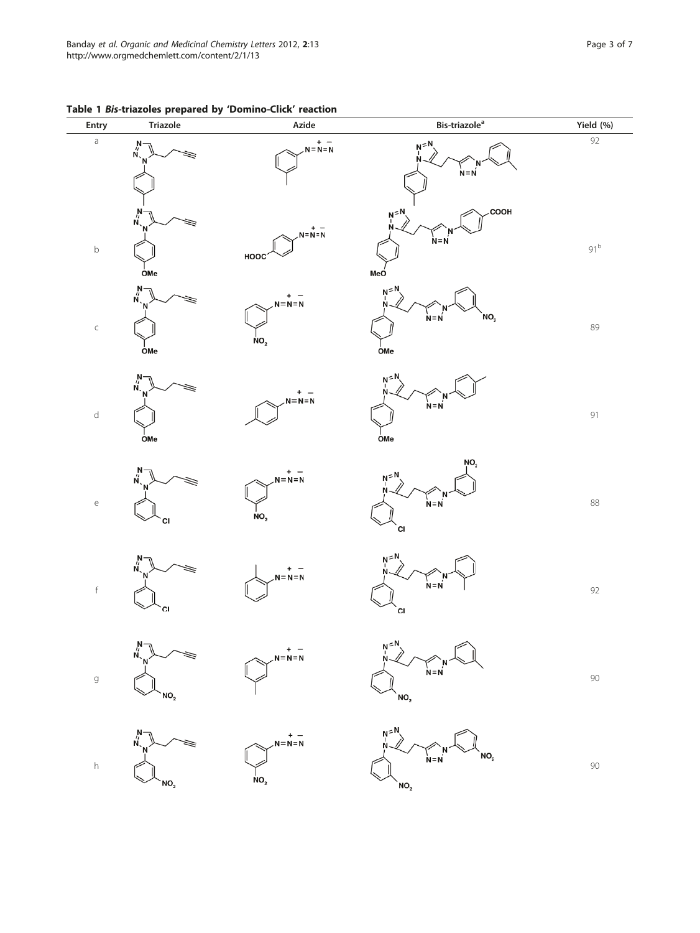| Entry                                 | <b>Triazole</b>                                                        | -,<br>Azide                               | Bis-triazole <sup>a</sup>                                | Yield (%)       |
|---------------------------------------|------------------------------------------------------------------------|-------------------------------------------|----------------------------------------------------------|-----------------|
| $\mathsf a$                           | $\stackrel{\text{N}}{\underset{\text{N}_{\text{v}}}{\prime}}$          | $-$<br>$N=N=N$                            | $N = N$<br>$N = N$                                       | $\overline{92}$ |
| $\mathsf b$                           | $\stackrel{N}{\sim}$<br>OMe                                            | $N = N = N$<br>HOOC                       | COOH<br>$N^{\leq N}$<br>$N = N$<br>MeÓ                   | $91^{\rm b}$    |
| $\subset$                             | $\begin{array}{c}\nN \\ N \\ N\n\end{array}$<br><b>OMe</b>             | +<br>$N = N = N$<br>NO <sub>2</sub>       | $N = N$<br>NO <sub>2</sub><br>$N = N$<br>OMe             | 89              |
| $\mathsf{d}$                          | $\stackrel{\text{N}}{\stackrel{\text{N}}{\text{N}}_{\text{.}}}$<br>OMe | $+ -$<br>N=N=N                            | $N = N$<br>$\overline{O}$ Me                             | 91              |
| $\mathsf{e}% _{t}\left( t_{0}\right)$ | $\stackrel{\text{N}}{\underset{\text{N}_{\text{v}}}{\sim}}$<br>CI      | $- + -$<br>$N = N = N$<br>NO <sub>2</sub> | NO <sub>2</sub><br>$N^{\leq N}$<br>$N = N$<br><b>CI</b>  | 88              |
| $\mathsf f$                           | $\stackrel{N}{\scriptstyle\sim}$<br>CI.                                | $-$<br>$N=N=N$                            | $N^{\leq N}$<br>N<br>$N = N$<br><b>CI</b>                | 92              |
| $\mathfrak g$                         | $N - N - N - N$<br>NO <sub>2</sub>                                     | $N=N=N$                                   | $N^{\leq N}$<br>$N = N$<br>$\mathsf{NO_2}$               | $90\,$          |
| $\boldsymbol{\mathsf{h}}$             | $\stackrel{N}{N}$<br>`NO <sub>2</sub>                                  | – +<br>N=N=N<br>NO <sub>2</sub>           | $N = N$<br>NO <sub>2</sub><br>$N = N$<br>NO <sub>2</sub> | $90\,$          |

<span id="page-2-0"></span>Table 1 Bis-triazoles prepared by 'Domino-Click' reaction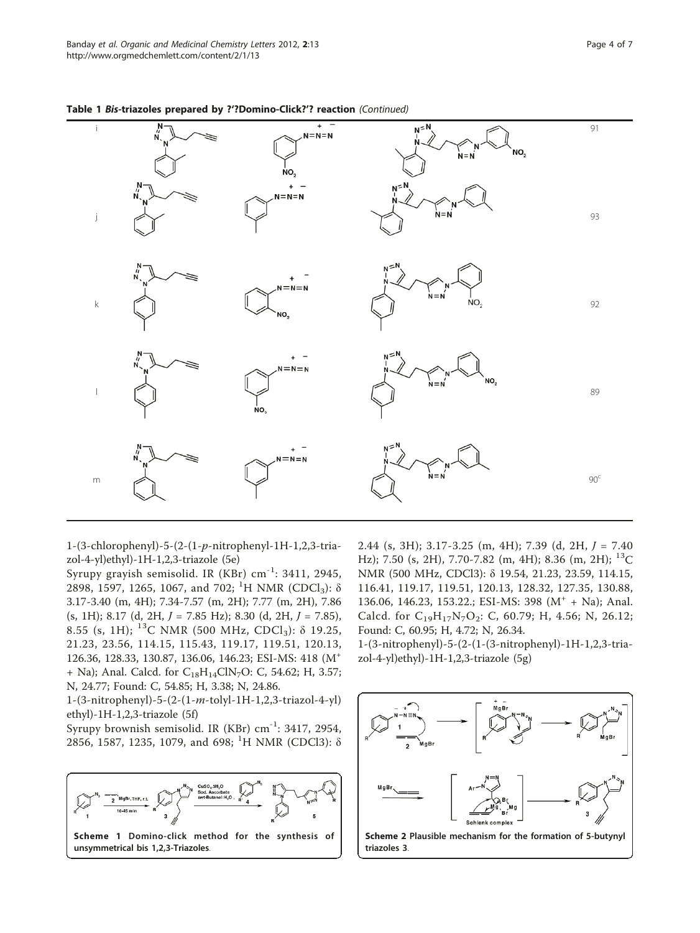|             | $\overline{N}$<br>N                     | $\ddot{}$<br>$N = N = N$<br>NO <sub>2</sub> | $N = N$<br>NO <sub>2</sub><br>$N = N$ | 91         |
|-------------|-----------------------------------------|---------------------------------------------|---------------------------------------|------------|
| j           | $\sum_{N}^{N}$                          | $N = N = N$                                 | $N = N$<br>$N = N$                    | 93         |
| $\mathsf k$ | $\begin{array}{c}\nN \\ N\n\end{array}$ | $N = N = N$<br>`NO <sub>2</sub>             | $N = N$<br>$N = N$<br>NO <sub>2</sub> | 92         |
|             | N,                                      | $N = N = N$<br>NO <sub>2</sub>              | $N = N$<br>$NO_{2}$<br>$N = N$        | 89         |
| ${\sf m}$   | $\frac{N}{N}$                           | $N = N = N$                                 | $N = N$<br>$N = N$                    | $90^\circ$ |

Table 1 Bis-triazoles prepared by ?'?Domino-Click?'? reaction (Continued)

1-(3-chlorophenyl)-5-(2-(1-p-nitrophenyl-1H-1,2,3-triazol-4-yl)ethyl)-1H-1,2,3-triazole (5e)

Syrupy grayish semisolid. IR (KBr) cm-1: 3411, 2945, 2898, 1597, 1265, 1067, and 702; <sup>1</sup>H NMR (CDCl<sub>3</sub>):  $\delta$ 3.17-3.40 (m, 4H); 7.34-7.57 (m, 2H); 7.77 (m, 2H), 7.86 (s, 1H); 8.17 (d, 2H, J = 7.85 Hz); 8.30 (d, 2H, J = 7.85), 8.55 (s, 1H); <sup>13</sup>C NMR (500 MHz, CDCl<sub>3</sub>): δ 19.25, 21.23, 23.56, 114.15, 115.43, 119.17, 119.51, 120.13, 126.36, 128.33, 130.87, 136.06, 146.23; ESI-MS: 418 (M<sup>+</sup> + Na); Anal. Calcd. for  $C_{18}H_{14}C/N_7O$ : C, 54.62; H, 3.57; N, 24.77; Found: C, 54.85; H, 3.38; N, 24.86.

1-(3-nitrophenyl)-5-(2-(1-m-tolyl-1H-1,2,3-triazol-4-yl) ethyl)-1H-1,2,3-triazole (5f)

Syrupy brownish semisolid. IR (KBr) cm-1: 3417, 2954, 2856, 1587, 1235, 1079, and 698; <sup>1</sup>H NMR (CDCl3): δ



2.44 (s, 3H); 3.17-3.25 (m, 4H); 7.39 (d, 2H,  $J = 7.40$ Hz); 7.50 (s, 2H), 7.70-7.82 (m, 4H); 8.36 (m, 2H);  $^{13}$ C NMR (500 MHz, CDCl3): δ 19.54, 21.23, 23.59, 114.15, 116.41, 119.17, 119.51, 120.13, 128.32, 127.35, 130.88, 136.06, 146.23, 153.22.; ESI-MS: 398 (M<sup>+</sup> + Na); Anal. Calcd. for  $C_{19}H_{17}N_7O_2$ : C, 60.79; H, 4.56; N, 26.12; Found: C, 60.95; H, 4.72; N, 26.34.

1-(3-nitrophenyl)-5-(2-(1-(3-nitrophenyl)-1H-1,2,3-triazol-4-yl)ethyl)-1H-1,2,3-triazole (5g)

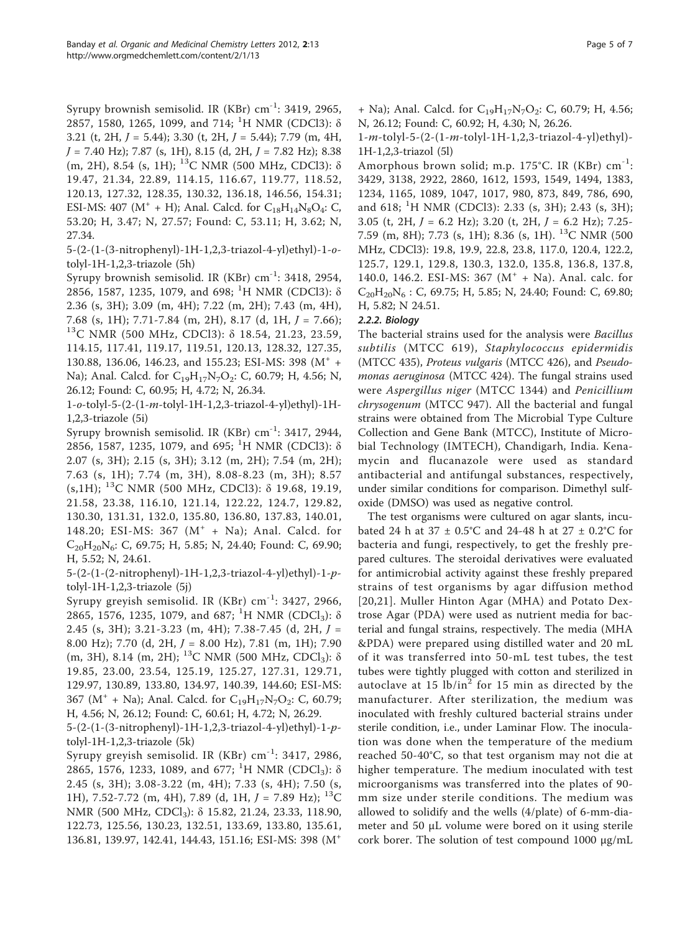Syrupy brownish semisolid. IR (KBr)  $cm^{-1}$ : 3419, 2965, 2857, 1580, 1265, 1099, and 714; <sup>1</sup>H NMR (CDCl3): δ 3.21 (t, 2H,  $J = 5.44$ ); 3.30 (t, 2H,  $J = 5.44$ ); 7.79 (m, 4H,  $J = 7.40$  Hz); 7.87 (s, 1H), 8.15 (d, 2H,  $J = 7.82$  Hz); 8.38 (m, 2H), 8.54 (s, 1H); <sup>13</sup>C NMR (500 MHz, CDCl3): δ 19.47, 21.34, 22.89, 114.15, 116.67, 119.77, 118.52, 120.13, 127.32, 128.35, 130.32, 136.18, 146.56, 154.31; ESI-MS: 407 ( $M^+$  + H); Anal. Calcd. for  $C_{18}H_{14}N_8O_4$ : C, 53.20; H, 3.47; N, 27.57; Found: C, 53.11; H, 3.62; N, 27.34.

5-(2-(1-(3-nitrophenyl)-1H-1,2,3-triazol-4-yl)ethyl)-1-otolyl-1H-1,2,3-triazole (5h)

Syrupy brownish semisolid. IR (KBr)  $cm^{-1}$ : 3418, 2954, 2856, 1587, 1235, 1079, and 698; <sup>1</sup>H NMR (CDCl3): δ 2.36 (s, 3H); 3.09 (m, 4H); 7.22 (m, 2H); 7.43 (m, 4H), 7.68 (s, 1H); 7.71-7.84 (m, 2H), 8.17 (d, 1H, <sup>J</sup> = 7.66); 13C NMR (500 MHz, CDCl3): <sup>δ</sup> 18.54, 21.23, 23.59, 114.15, 117.41, 119.17, 119.51, 120.13, 128.32, 127.35, 130.88, 136.06, 146.23, and 155.23; ESI-MS: 398 (M<sup>+</sup> + Na); Anal. Calcd. for  $C_{19}H_{17}N_7O_2$ : C, 60.79; H, 4.56; N, 26.12; Found: C, 60.95; H, 4.72; N, 26.34.

1-o-tolyl-5-(2-(1-m-tolyl-1H-1,2,3-triazol-4-yl)ethyl)-1H-1,2,3-triazole (5i)

Syrupy brownish semisolid. IR (KBr)  $cm^{-1}$ : 3417, 2944, 2856, 1587, 1235, 1079, and 695; <sup>1</sup>H NMR (CDCl3):  $\delta$ 2.07 (s, 3H); 2.15 (s, 3H); 3.12 (m, 2H); 7.54 (m, 2H); 7.63 (s, 1H); 7.74 (m, 3H), 8.08-8.23 (m, 3H); 8.57 (s,1H); 13C NMR (500 MHz, CDCl3): δ 19.68, 19.19, 21.58, 23.38, 116.10, 121.14, 122.22, 124.7, 129.82, 130.30, 131.31, 132.0, 135.80, 136.80, 137.83, 140.01, 148.20; ESI-MS: 367  $(M^+ + Na)$ ; Anal. Calcd. for  $C_{20}H_{20}N_{6}$ : C, 69.75; H, 5.85; N, 24.40; Found: C, 69.90; H, 5.52; N, 24.61.

5-(2-(1-(2-nitrophenyl)-1H-1,2,3-triazol-4-yl)ethyl)-1-ptolyl-1H-1,2,3-triazole (5j)

Syrupy greyish semisolid. IR (KBr) cm-1: 3427, 2966, 2865, 1576, 1235, 1079, and 687; <sup>1</sup>H NMR (CDCl<sub>3</sub>): δ 2.45 (s, 3H); 3.21-3.23 (m, 4H); 7.38-7.45 (d, 2H, J = 8.00 Hz); 7.70 (d, 2H,  $J = 8.00$  Hz), 7.81 (m, 1H); 7.90 (m, 3H), 8.14 (m, 2H); <sup>13</sup>C NMR (500 MHz, CDCl<sub>3</sub>): δ 19.85, 23.00, 23.54, 125.19, 125.27, 127.31, 129.71, 129.97, 130.89, 133.80, 134.97, 140.39, 144.60; ESI-MS: 367 ( $M^+$  + Na); Anal. Calcd. for C<sub>19</sub>H<sub>17</sub>N<sub>7</sub>O<sub>2</sub>: C, 60.79; H, 4.56; N, 26.12; Found: C, 60.61; H, 4.72; N, 26.29.

5-(2-(1-(3-nitrophenyl)-1H-1,2,3-triazol-4-yl)ethyl)-1-ptolyl-1H-1,2,3-triazole (5k)

Syrupy greyish semisolid. IR  $(KBr)$  cm<sup>-1</sup>: 3417, 2986, 2865, 1576, 1233, 1089, and 677; <sup>1</sup>H NMR (CDCl<sub>3</sub>): δ 2.45 (s, 3H); 3.08-3.22 (m, 4H); 7.33 (s, 4H); 7.50 (s, 1H), 7.52-7.72 (m, 4H), 7.89 (d, 1H,  $J = 7.89$  Hz); <sup>13</sup>C NMR (500 MHz, CDCl3): δ 15.82, 21.24, 23.33, 118.90, 122.73, 125.56, 130.23, 132.51, 133.69, 133.80, 135.61, 136.81, 139.97, 142.41, 144.43, 151.16; ESI-MS: 398 (M<sup>+</sup>

 $+$  Na); Anal. Calcd. for  $C_{19}H_{17}N_7O_2$ : C, 60.79; H, 4.56; N, 26.12; Found: C, 60.92; H, 4.30; N, 26.26.

1-m-tolyl-5-(2-(1-m-tolyl-1H-1,2,3-triazol-4-yl)ethyl)- 1H-1,2,3-triazol (5l)

Amorphous brown solid; m.p. 175°C. IR (KBr)  $cm^{-1}$ : 3429, 3138, 2922, 2860, 1612, 1593, 1549, 1494, 1383, 1234, 1165, 1089, 1047, 1017, 980, 873, 849, 786, 690, and 618; <sup>1</sup>H NMR (CDCl3): 2.33 (s, 3H); 2.43 (s, 3H); 3.05 (t, 2H,  $J = 6.2$  Hz); 3.20 (t, 2H,  $J = 6.2$  Hz); 7.25-7.59 (m, 8H); 7.73 (s, 1H); 8.36 (s, 1H). 13C NMR (500 MHz, CDCl3): 19.8, 19.9, 22.8, 23.8, 117.0, 120.4, 122.2, 125.7, 129.1, 129.8, 130.3, 132.0, 135.8, 136.8, 137.8, 140.0, 146.2. ESI-MS: 367 ( $M^+$  + Na). Anal. calc. for  $C_{20}H_{20}N_6$ : C, 69.75; H, 5.85; N, 24.40; Found: C, 69.80; H, 5.82; N 24.51.

## 2.2.2. Biology

The bacterial strains used for the analysis were *Bacillus* subtilis (MTCC 619), Staphylococcus epidermidis (MTCC 435), Proteus vulgaris (MTCC 426), and Pseudomonas aeruginosa (MTCC 424). The fungal strains used were Aspergillus niger (MTCC 1344) and Penicillium chrysogenum (MTCC 947). All the bacterial and fungal strains were obtained from The Microbial Type Culture Collection and Gene Bank (MTCC), Institute of Microbial Technology (IMTECH), Chandigarh, India. Kenamycin and flucanazole were used as standard antibacterial and antifungal substances, respectively, under similar conditions for comparison. Dimethyl sulfoxide (DMSO) was used as negative control.

The test organisms were cultured on agar slants, incubated 24 h at 37  $\pm$  0.5°C and 24-48 h at 27  $\pm$  0.2°C for bacteria and fungi, respectively, to get the freshly prepared cultures. The steroidal derivatives were evaluated for antimicrobial activity against these freshly prepared strains of test organisms by agar diffusion method [[20,21](#page-6-0)]. Muller Hinton Agar (MHA) and Potato Dextrose Agar (PDA) were used as nutrient media for bacterial and fungal strains, respectively. The media (MHA &PDA) were prepared using distilled water and 20 mL of it was transferred into 50-mL test tubes, the test tubes were tightly plugged with cotton and sterilized in autoclave at 15  $lb/in^2$  for 15 min as directed by the manufacturer. After sterilization, the medium was inoculated with freshly cultured bacterial strains under sterile condition, i.e., under Laminar Flow. The inoculation was done when the temperature of the medium reached 50-40°C, so that test organism may not die at higher temperature. The medium inoculated with test microorganisms was transferred into the plates of 90 mm size under sterile conditions. The medium was allowed to solidify and the wells (4/plate) of 6-mm-diameter and 50 μL volume were bored on it using sterile cork borer. The solution of test compound 1000 μg/mL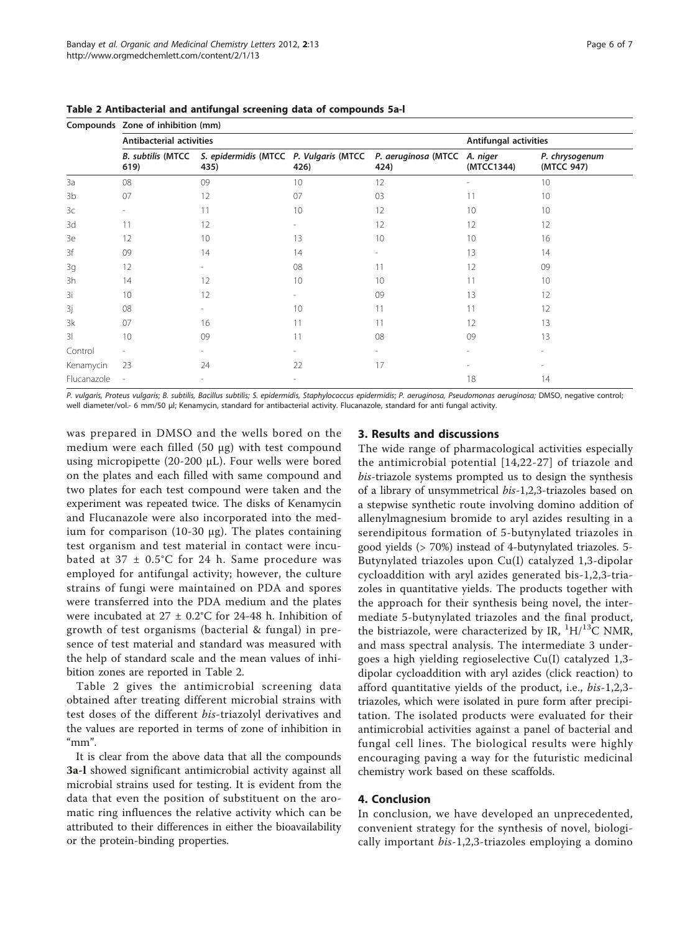|                         | Compounds Zone of inhibition (mm) |                                                                  |                          |                             |                        |                              |  |  |
|-------------------------|-----------------------------------|------------------------------------------------------------------|--------------------------|-----------------------------|------------------------|------------------------------|--|--|
|                         | <b>Antibacterial activities</b>   |                                                                  | Antifungal activities    |                             |                        |                              |  |  |
|                         | 619)                              | B. subtilis (MTCC S. epidermidis (MTCC P. Vulgaris (MTCC<br>435) | 426)                     | P. aeruginosa (MTCC<br>424) | A. niger<br>(MTCC1344) | P. chrysogenum<br>(MTCC 947) |  |  |
| 3a                      | 08                                | 09                                                               | 10                       | 12                          |                        | 10                           |  |  |
| 3b                      | 07                                | 12                                                               | 07                       | 03                          | 11                     | 10                           |  |  |
| 3c                      |                                   | 11                                                               | 10                       | 12                          | 10                     | 10                           |  |  |
| 3d                      | 11                                | 12                                                               |                          | 12                          | 12                     | 12                           |  |  |
| 3e                      | 12                                | 10                                                               | 13                       | 10                          | 10                     | 16                           |  |  |
| 3f                      | 09                                | 14                                                               | 14                       |                             | 13                     | 14                           |  |  |
| 3g                      | 12                                |                                                                  | 08                       | 11                          | 12                     | 09                           |  |  |
| 3h                      | 14                                | 12                                                               | 10                       | 10                          | 11                     | 10                           |  |  |
| 3i                      | 10                                | 12                                                               | $\overline{\phantom{a}}$ | 09                          | 13                     | 12                           |  |  |
| 3j                      | 08                                |                                                                  | 10                       | 11                          | 11                     | 12                           |  |  |
| 3k                      | 07                                | 16                                                               | 11                       | 11                          | 12                     | 13                           |  |  |
| $\overline{\mathbf{3}}$ | 10                                | 09                                                               | 11                       | 08                          | 09                     | 13                           |  |  |
| Control                 |                                   |                                                                  |                          |                             |                        |                              |  |  |
| Kenamycin               | 23                                | 24                                                               | 22                       | 17                          |                        |                              |  |  |
| Flucanazole             |                                   |                                                                  | $\overline{a}$           |                             | 18                     | 14                           |  |  |

Table 2 Antibacterial and antifungal screening data of compounds 5a-l

P. vulgaris, Proteus vulgaris; B. subtilis, Bacillus subtilis; S. epidermidis, Staphylococcus epidermidis; P. aeruginosa, Pseudomonas aeruginosa; DMSO, negative control; well diameter/vol.- 6 mm/50 μl; Kenamycin, standard for antibacterial activity. Flucanazole, standard for anti fungal activity.

was prepared in DMSO and the wells bored on the medium were each filled (50 μg) with test compound using micropipette (20-200 μL). Four wells were bored on the plates and each filled with same compound and two plates for each test compound were taken and the experiment was repeated twice. The disks of Kenamycin and Flucanazole were also incorporated into the medium for comparison (10-30 μg). The plates containing test organism and test material in contact were incubated at  $37 \pm 0.5^{\circ}$ C for 24 h. Same procedure was employed for antifungal activity; however, the culture strains of fungi were maintained on PDA and spores were transferred into the PDA medium and the plates were incubated at 27 ± 0.2°C for 24-48 h. Inhibition of growth of test organisms (bacterial & fungal) in presence of test material and standard was measured with the help of standard scale and the mean values of inhibition zones are reported in Table 2.

Table 2 gives the antimicrobial screening data obtained after treating different microbial strains with test doses of the different bis-triazolyl derivatives and the values are reported in terms of zone of inhibition in "mm".

It is clear from the above data that all the compounds 3a-l showed significant antimicrobial activity against all microbial strains used for testing. It is evident from the data that even the position of substituent on the aromatic ring influences the relative activity which can be attributed to their differences in either the bioavailability or the protein-binding properties.

## 3. Results and discussions

The wide range of pharmacological activities especially the antimicrobial potential [[14](#page-6-0),[22](#page-6-0)-[27](#page-6-0)] of triazole and bis-triazole systems prompted us to design the synthesis of a library of unsymmetrical bis-1,2,3-triazoles based on a stepwise synthetic route involving domino addition of allenylmagnesium bromide to aryl azides resulting in a serendipitous formation of 5-butynylated triazoles in good yields (> 70%) instead of 4-butynylated triazoles. 5- Butynylated triazoles upon Cu(I) catalyzed 1,3-dipolar cycloaddition with aryl azides generated bis-1,2,3-triazoles in quantitative yields. The products together with the approach for their synthesis being novel, the intermediate 5-butynylated triazoles and the final product, the bistriazole, were characterized by IR,  ${}^{1}$ H/ ${}^{13}$ C NMR, and mass spectral analysis. The intermediate 3 undergoes a high yielding regioselective Cu(I) catalyzed 1,3 dipolar cycloaddition with aryl azides (click reaction) to afford quantitative yields of the product, i.e., bis-1,2,3 triazoles, which were isolated in pure form after precipitation. The isolated products were evaluated for their antimicrobial activities against a panel of bacterial and fungal cell lines. The biological results were highly encouraging paving a way for the futuristic medicinal chemistry work based on these scaffolds.

## 4. Conclusion

In conclusion, we have developed an unprecedented, convenient strategy for the synthesis of novel, biologically important bis-1,2,3-triazoles employing a domino